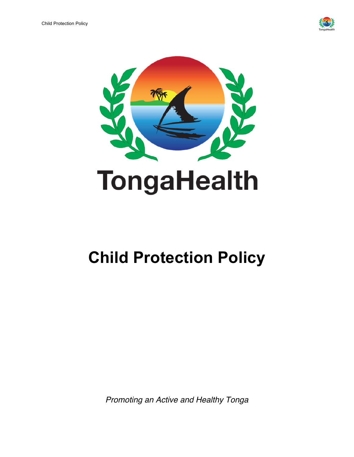



# **Child Protection Policy**

*Promoting an Active and Healthy Tonga*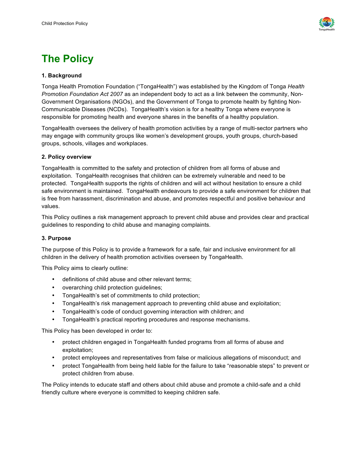

### **The Policy**

#### **1. Background**

Tonga Health Promotion Foundation ("TongaHealth") was established by the Kingdom of Tonga *Health Promotion Foundation Act 2007* as an independent body to act as a link between the community, Non-Government Organisations (NGOs), and the Government of Tonga to promote health by fighting Non-Communicable Diseases (NCDs). TongaHealth's vision is for a healthy Tonga where everyone is responsible for promoting health and everyone shares in the benefits of a healthy population.

TongaHealth oversees the delivery of health promotion activities by a range of multi-sector partners who may engage with community groups like women's development groups, youth groups, church-based groups, schools, villages and workplaces.

#### **2. Policy overview**

TongaHealth is committed to the safety and protection of children from all forms of abuse and exploitation. TongaHealth recognises that children can be extremely vulnerable and need to be protected. TongaHealth supports the rights of children and will act without hesitation to ensure a child safe environment is maintained. TongaHealth endeavours to provide a safe environment for children that is free from harassment, discrimination and abuse, and promotes respectful and positive behaviour and values.

This Policy outlines a risk management approach to prevent child abuse and provides clear and practical guidelines to responding to child abuse and managing complaints.

#### **3. Purpose**

The purpose of this Policy is to provide a framework for a safe, fair and inclusive environment for all children in the delivery of health promotion activities overseen by TongaHealth.

This Policy aims to clearly outline:

- definitions of child abuse and other relevant terms;
- overarching child protection guidelines;
- TongaHealth's set of commitments to child protection;
- TongaHealth's risk management approach to preventing child abuse and exploitation;
- TongaHealth's code of conduct governing interaction with children; and
- TongaHealth's practical reporting procedures and response mechanisms.

This Policy has been developed in order to:

- protect children engaged in TongaHealth funded programs from all forms of abuse and exploitation;
- protect employees and representatives from false or malicious allegations of misconduct; and
- protect TongaHealth from being held liable for the failure to take "reasonable steps" to prevent or protect children from abuse.

The Policy intends to educate staff and others about child abuse and promote a child-safe and a child friendly culture where everyone is committed to keeping children safe.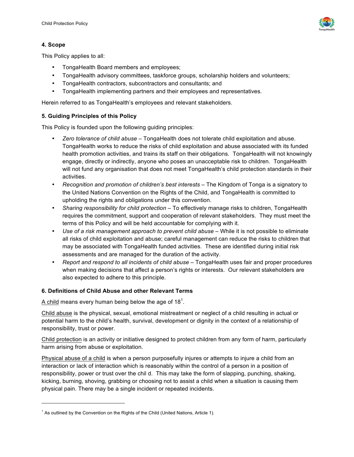

#### **4. Scope**

l

This Policy applies to all:

- TongaHealth Board members and employees;
- TongaHealth advisory committees, taskforce groups, scholarship holders and volunteers;
- TongaHealth contractors, subcontractors and consultants; and
- TongaHealth implementing partners and their employees and representatives.

Herein referred to as TongaHealth's employees and relevant stakeholders.

#### **5. Guiding Principles of this Policy**

This Policy is founded upon the following guiding principles:

- *Zero tolerance of child abuse* TongaHealth does not tolerate child exploitation and abuse. TongaHealth works to reduce the risks of child exploitation and abuse associated with its funded health promotion activities, and trains its staff on their obligations. TongaHealth will not knowingly engage, directly or indirectly, anyone who poses an unacceptable risk to children. TongaHealth will not fund any organisation that does not meet TongaHealth's child protection standards in their activities.
- *Recognition and promotion of children's best interests* The Kingdom of Tonga is a signatory to the United Nations Convention on the Rights of the Child, and TongaHealth is committed to upholding the rights and obligations under this convention.
- *Sharing responsibility for child protection* To effectively manage risks to children, TongaHealth requires the commitment, support and cooperation of relevant stakeholders. They must meet the terms of this Policy and will be held accountable for complying with it.
- *Use of a risk management approach to prevent child abuse* While it is not possible to eliminate all risks of child exploitation and abuse; careful management can reduce the risks to children that may be associated with TongaHealth funded activities. These are identified during initial risk assessments and are managed for the duration of the activity.
- *Report and respond to all incidents of child abuse* TongaHealth uses fair and proper procedures when making decisions that affect a person's rights or interests. Our relevant stakeholders are also expected to adhere to this principle.

#### **6. Definitions of Child Abuse and other Relevant Terms**

A child means every human being below the age of 18<sup>1</sup>.

Child abuse is the physical, sexual, emotional mistreatment or neglect of a child resulting in actual or potential harm to the child's health, survival, development or dignity in the context of a relationship of responsibility, trust or power.

Child protection is an activity or initiative designed to protect children from any form of harm, particularly harm arising from abuse or exploitation.

Physical abuse of a child is when a person purposefully injures or attempts to injure a child from an interaction or lack of interaction which is reasonably within the control of a person in a position of responsibility, power or trust over the chil d. This may take the form of slapping, punching, shaking, kicking, burning, shoving, grabbing or choosing not to assist a child when a situation is causing them physical pain. There may be a single incident or repeated incidents.

 $1$  As outlined by the Convention on the Rights of the Child (United Nations, Article 1).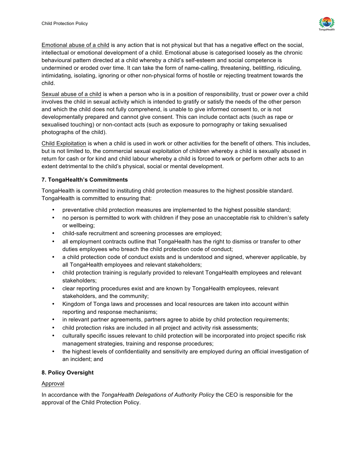

Emotional abuse of a child is any action that is not physical but that has a negative effect on the social, intellectual or emotional development of a child. Emotional abuse is categorised loosely as the chronic behavioural pattern directed at a child whereby a child's self-esteem and social competence is undermined or eroded over time. It can take the form of name-calling, threatening, belittling, ridiculing, intimidating, isolating, ignoring or other non-physical forms of hostile or rejecting treatment towards the child.

Sexual abuse of a child is when a person who is in a position of responsibility, trust or power over a child involves the child in sexual activity which is intended to gratify or satisfy the needs of the other person and which the child does not fully comprehend, is unable to give informed consent to, or is not developmentally prepared and cannot give consent. This can include contact acts (such as rape or sexualised touching) or non-contact acts (such as exposure to pornography or taking sexualised photographs of the child).

Child Exploitation is when a child is used in work or other activities for the benefit of others. This includes, but is not limited to, the commercial sexual exploitation of children whereby a child is sexually abused in return for cash or for kind and child labour whereby a child is forced to work or perform other acts to an extent detrimental to the child's physical, social or mental development.

#### **7. TongaHealth's Commitments**

TongaHealth is committed to instituting child protection measures to the highest possible standard. TongaHealth is committed to ensuring that:

- preventative child protection measures are implemented to the highest possible standard;
- no person is permitted to work with children if they pose an unacceptable risk to children's safety or wellbeing;
- child-safe recruitment and screening processes are employed;
- all employment contracts outline that TongaHealth has the right to dismiss or transfer to other duties employees who breach the child protection code of conduct;
- a child protection code of conduct exists and is understood and signed, wherever applicable, by all TongaHealth employees and relevant stakeholders;
- child protection training is regularly provided to relevant TongaHealth employees and relevant stakeholders;
- clear reporting procedures exist and are known by TongaHealth employees, relevant stakeholders, and the community;
- Kingdom of Tonga laws and processes and local resources are taken into account within reporting and response mechanisms;
- in relevant partner agreements, partners agree to abide by child protection requirements;
- child protection risks are included in all project and activity risk assessments;
- culturally specific issues relevant to child protection will be incorporated into project specific risk management strategies, training and response procedures;
- the highest levels of confidentiality and sensitivity are employed during an official investigation of an incident; and

#### **8. Policy Oversight**

#### Approval

In accordance with the *TongaHealth Delegations of Authority Policy* the CEO is responsible for the approval of the Child Protection Policy.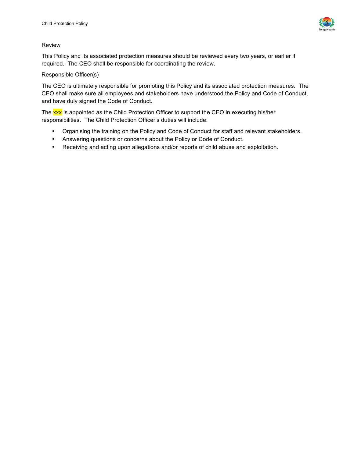

#### Review

This Policy and its associated protection measures should be reviewed every two years, or earlier if required. The CEO shall be responsible for coordinating the review.

#### Responsible Officer(s)

The CEO is ultimately responsible for promoting this Policy and its associated protection measures. The CEO shall make sure all employees and stakeholders have understood the Policy and Code of Conduct, and have duly signed the Code of Conduct.

The xxx is appointed as the Child Protection Officer to support the CEO in executing his/her responsibilities. The Child Protection Officer's duties will include:

- Organising the training on the Policy and Code of Conduct for staff and relevant stakeholders.
- Answering questions or concerns about the Policy or Code of Conduct.
- Receiving and acting upon allegations and/or reports of child abuse and exploitation.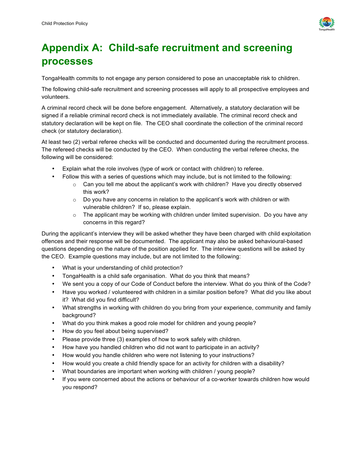

# **Appendix A: Child-safe recruitment and screening processes**

TongaHealth commits to not engage any person considered to pose an unacceptable risk to children.

The following child-safe recruitment and screening processes will apply to all prospective employees and volunteers.

A criminal record check will be done before engagement. Alternatively, a statutory declaration will be signed if a reliable criminal record check is not immediately available. The criminal record check and statutory declaration will be kept on file. The CEO shall coordinate the collection of the criminal record check (or statutory declaration).

At least two (2) verbal referee checks will be conducted and documented during the recruitment process. The refereed checks will be conducted by the CEO. When conducting the verbal referee checks, the following will be considered:

- Explain what the role involves (type of work or contact with children) to referee.
- Follow this with a series of questions which may include, but is not limited to the following:
	- $\circ$  Can you tell me about the applicant's work with children? Have you directly observed this work?
	- $\circ$  Do you have any concerns in relation to the applicant's work with children or with vulnerable children? If so, please explain.
	- $\circ$  The applicant may be working with children under limited supervision. Do you have any concerns in this regard?

During the applicant's interview they will be asked whether they have been charged with child exploitation offences and their response will be documented. The applicant may also be asked behavioural-based questions depending on the nature of the position applied for. The interview questions will be asked by the CEO. Example questions may include, but are not limited to the following:

- What is your understanding of child protection?
- TongaHealth is a child safe organisation. What do you think that means?
- We sent you a copy of our Code of Conduct before the interview. What do you think of the Code?
- Have you worked / volunteered with children in a similar position before? What did you like about it? What did you find difficult?
- What strengths in working with children do you bring from your experience, community and family background?
- What do you think makes a good role model for children and young people?
- How do you feel about being supervised?
- Please provide three (3) examples of how to work safely with children.
- How have you handled children who did not want to participate in an activity?
- How would you handle children who were not listening to your instructions?
- How would you create a child friendly space for an activity for children with a disability?
- What boundaries are important when working with children / young people?
- If you were concerned about the actions or behaviour of a co-worker towards children how would you respond?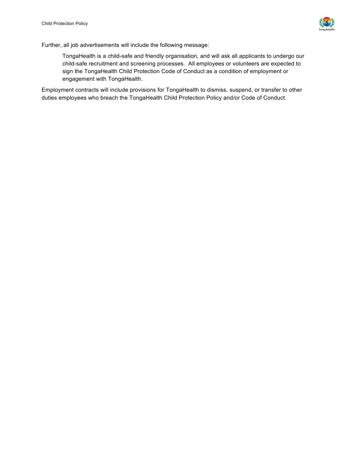

Further, all job advertisements will include the following message:

TongaHealth is a child-safe and friendly organisation, and will ask all applicants to undergo our child-safe recruitment and screening processes. All employees or volunteers are expected to sign the TongaHealth Child Protection Code of Conduct as a condition of employment or engagement with TongaHealth.

Employment contracts will include provisions for TongaHealth to dismiss, suspend, or transfer to other duties employees who breach the TongaHealth Child Protection Policy and/or Code of Conduct.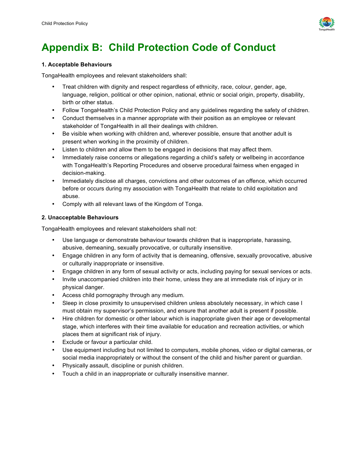

### **Appendix B: Child Protection Code of Conduct**

#### **1. Acceptable Behaviours**

TongaHealth employees and relevant stakeholders shall:

- Treat children with dignity and respect regardless of ethnicity, race, colour, gender, age, language, religion, political or other opinion, national, ethnic or social origin, property, disability, birth or other status.
- Follow TongaHealth's Child Protection Policy and any guidelines regarding the safety of children.
- Conduct themselves in a manner appropriate with their position as an employee or relevant stakeholder of TongaHealth in all their dealings with children.
- Be visible when working with children and, wherever possible, ensure that another adult is present when working in the proximity of children.
- Listen to children and allow them to be engaged in decisions that may affect them.
- Immediately raise concerns or allegations regarding a child's safety or wellbeing in accordance with TongaHealth's Reporting Procedures and observe procedural fairness when engaged in decision-making.
- Immediately disclose all charges, convictions and other outcomes of an offence, which occurred before or occurs during my association with TongaHealth that relate to child exploitation and abuse.
- Comply with all relevant laws of the Kingdom of Tonga.

#### **2. Unacceptable Behaviours**

TongaHealth employees and relevant stakeholders shall not:

- Use language or demonstrate behaviour towards children that is inappropriate, harassing, abusive, demeaning, sexually provocative, or culturally insensitive.
- Engage children in any form of activity that is demeaning, offensive, sexually provocative, abusive or culturally inappropriate or insensitive.
- Engage children in any form of sexual activity or acts, including paying for sexual services or acts.
- Invite unaccompanied children into their home, unless they are at immediate risk of injury or in physical danger.
- Access child pornography through any medium.
- Sleep in close proximity to unsupervised children unless absolutely necessary, in which case I must obtain my supervisor's permission, and ensure that another adult is present if possible.
- Hire children for domestic or other labour which is inappropriate given their age or developmental stage, which interferes with their time available for education and recreation activities, or which places them at significant risk of injury.
- Exclude or favour a particular child.
- Use equipment including but not limited to computers, mobile phones, video or digital cameras, or social media inappropriately or without the consent of the child and his/her parent or guardian.
- Physically assault, discipline or punish children.
- Touch a child in an inappropriate or culturally insensitive manner.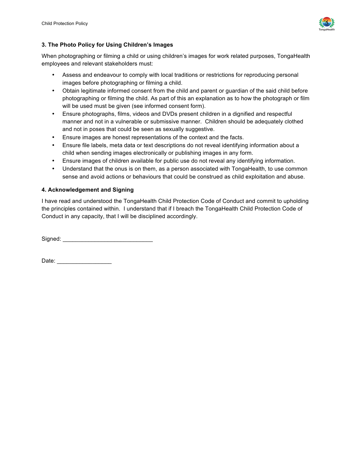

#### **3. The Photo Policy for Using Children's Images**

When photographing or filming a child or using children's images for work related purposes, TongaHealth employees and relevant stakeholders must:

- Assess and endeavour to comply with local traditions or restrictions for reproducing personal images before photographing or filming a child.
- Obtain legitimate informed consent from the child and parent or guardian of the said child before photographing or filming the child. As part of this an explanation as to how the photograph or film will be used must be given (see informed consent form).
- Ensure photographs, films, videos and DVDs present children in a dignified and respectful manner and not in a vulnerable or submissive manner. Children should be adequately clothed and not in poses that could be seen as sexually suggestive.
- Ensure images are honest representations of the context and the facts.
- Ensure file labels, meta data or text descriptions do not reveal identifying information about a child when sending images electronically or publishing images in any form.
- Ensure images of children available for public use do not reveal any identifying information.
- Understand that the onus is on them, as a person associated with TongaHealth, to use common sense and avoid actions or behaviours that could be construed as child exploitation and abuse.

#### **4. Acknowledgement and Signing**

I have read and understood the TongaHealth Child Protection Code of Conduct and commit to upholding the principles contained within. I understand that if I breach the TongaHealth Child Protection Code of Conduct in any capacity, that I will be disciplined accordingly.

Signed: \_\_\_\_\_\_\_\_\_\_\_\_\_\_\_\_\_\_\_\_\_\_\_\_\_\_\_\_

Date:  $\Box$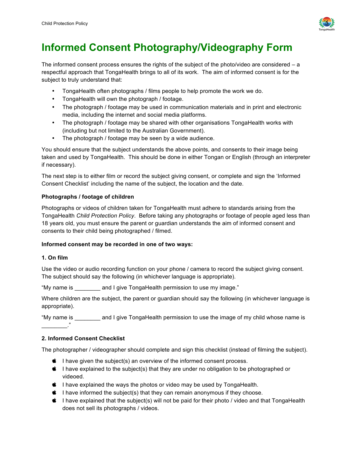

### **Informed Consent Photography/Videography Form**

The informed consent process ensures the rights of the subject of the photo/video are considered – a respectful approach that TongaHealth brings to all of its work. The aim of informed consent is for the subject to truly understand that:

- TongaHealth often photographs / films people to help promote the work we do.
- TongaHealth will own the photograph / footage.
- The photograph / footage may be used in communication materials and in print and electronic media, including the internet and social media platforms.
- The photograph / footage may be shared with other organisations TongaHealth works with (including but not limited to the Australian Government).
- The photograph / footage may be seen by a wide audience.

You should ensure that the subject understands the above points, and consents to their image being taken and used by TongaHealth. This should be done in either Tongan or English (through an interpreter if necessary).

The next step is to either film or record the subject giving consent, or complete and sign the 'Informed Consent Checklist' including the name of the subject, the location and the date.

#### **Photographs / footage of children**

Photographs or videos of children taken for TongaHealth must adhere to standards arising from the TongaHealth *Child Protection Policy*. Before taking any photographs or footage of people aged less than 18 years old, you must ensure the parent or guardian understands the aim of informed consent and consents to their child being photographed / filmed.

#### **Informed consent may be recorded in one of two ways:**

#### **1. On film**

Use the video or audio recording function on your phone / camera to record the subject giving consent. The subject should say the following (in whichever language is appropriate).

"My name is \_\_\_\_\_\_\_\_ and I give TongaHealth permission to use my image."

Where children are the subject, the parent or guardian should say the following (in whichever language is appropriate).

"My name is \_\_\_\_\_\_\_\_ and I give TongaHealth permission to use the image of my child whose name is  $\overline{\phantom{a}}$ 

#### **2. Informed Consent Checklist**

The photographer / videographer should complete and sign this checklist (instead of filming the subject).

- $\bullet$  I have given the subject(s) an overview of the informed consent process.
- $\bullet$  I have explained to the subject(s) that they are under no obligation to be photographed or videoed.
- $\bullet$  I have explained the ways the photos or video may be used by TongaHealth.
- $\bullet$  I have informed the subject(s) that they can remain anonymous if they choose.
- $\bullet$  I have explained that the subject(s) will not be paid for their photo / video and that TongaHealth does not sell its photographs / videos.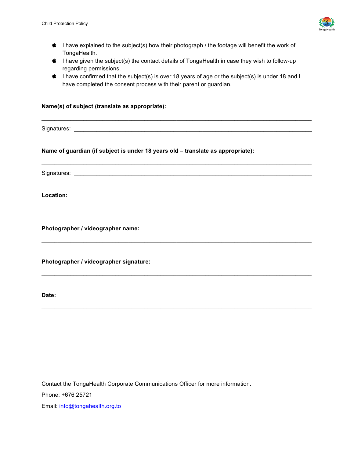

- $\bullet$  I have explained to the subject(s) how their photograph / the footage will benefit the work of TongaHealth.
- $\bullet$  I have given the subject(s) the contact details of TongaHealth in case they wish to follow-up regarding permissions.
- $\bullet$  I have confirmed that the subject(s) is over 18 years of age or the subject(s) is under 18 and I have completed the consent process with their parent or guardian.

 $\mathcal{L}_\mathcal{L} = \{ \mathcal{L}_\mathcal{L} = \{ \mathcal{L}_\mathcal{L} = \{ \mathcal{L}_\mathcal{L} = \{ \mathcal{L}_\mathcal{L} = \{ \mathcal{L}_\mathcal{L} = \{ \mathcal{L}_\mathcal{L} = \{ \mathcal{L}_\mathcal{L} = \{ \mathcal{L}_\mathcal{L} = \{ \mathcal{L}_\mathcal{L} = \{ \mathcal{L}_\mathcal{L} = \{ \mathcal{L}_\mathcal{L} = \{ \mathcal{L}_\mathcal{L} = \{ \mathcal{L}_\mathcal{L} = \{ \mathcal{L}_\mathcal{$ 

 $\mathcal{L}_\mathcal{L} = \{ \mathcal{L}_\mathcal{L} = \{ \mathcal{L}_\mathcal{L} = \{ \mathcal{L}_\mathcal{L} = \{ \mathcal{L}_\mathcal{L} = \{ \mathcal{L}_\mathcal{L} = \{ \mathcal{L}_\mathcal{L} = \{ \mathcal{L}_\mathcal{L} = \{ \mathcal{L}_\mathcal{L} = \{ \mathcal{L}_\mathcal{L} = \{ \mathcal{L}_\mathcal{L} = \{ \mathcal{L}_\mathcal{L} = \{ \mathcal{L}_\mathcal{L} = \{ \mathcal{L}_\mathcal{L} = \{ \mathcal{L}_\mathcal{$ 

 $\mathcal{L}_\mathcal{L} = \{ \mathcal{L}_\mathcal{L} = \{ \mathcal{L}_\mathcal{L} = \{ \mathcal{L}_\mathcal{L} = \{ \mathcal{L}_\mathcal{L} = \{ \mathcal{L}_\mathcal{L} = \{ \mathcal{L}_\mathcal{L} = \{ \mathcal{L}_\mathcal{L} = \{ \mathcal{L}_\mathcal{L} = \{ \mathcal{L}_\mathcal{L} = \{ \mathcal{L}_\mathcal{L} = \{ \mathcal{L}_\mathcal{L} = \{ \mathcal{L}_\mathcal{L} = \{ \mathcal{L}_\mathcal{L} = \{ \mathcal{L}_\mathcal{$ 

 $\mathcal{L}_\mathcal{L} = \{ \mathcal{L}_\mathcal{L} = \{ \mathcal{L}_\mathcal{L} = \{ \mathcal{L}_\mathcal{L} = \{ \mathcal{L}_\mathcal{L} = \{ \mathcal{L}_\mathcal{L} = \{ \mathcal{L}_\mathcal{L} = \{ \mathcal{L}_\mathcal{L} = \{ \mathcal{L}_\mathcal{L} = \{ \mathcal{L}_\mathcal{L} = \{ \mathcal{L}_\mathcal{L} = \{ \mathcal{L}_\mathcal{L} = \{ \mathcal{L}_\mathcal{L} = \{ \mathcal{L}_\mathcal{L} = \{ \mathcal{L}_\mathcal{$ 

 $\mathcal{L}_\mathcal{L} = \{ \mathcal{L}_\mathcal{L} = \{ \mathcal{L}_\mathcal{L} = \{ \mathcal{L}_\mathcal{L} = \{ \mathcal{L}_\mathcal{L} = \{ \mathcal{L}_\mathcal{L} = \{ \mathcal{L}_\mathcal{L} = \{ \mathcal{L}_\mathcal{L} = \{ \mathcal{L}_\mathcal{L} = \{ \mathcal{L}_\mathcal{L} = \{ \mathcal{L}_\mathcal{L} = \{ \mathcal{L}_\mathcal{L} = \{ \mathcal{L}_\mathcal{L} = \{ \mathcal{L}_\mathcal{L} = \{ \mathcal{L}_\mathcal{$ 

 $\mathcal{L}_\mathcal{L} = \{ \mathcal{L}_\mathcal{L} = \{ \mathcal{L}_\mathcal{L} = \{ \mathcal{L}_\mathcal{L} = \{ \mathcal{L}_\mathcal{L} = \{ \mathcal{L}_\mathcal{L} = \{ \mathcal{L}_\mathcal{L} = \{ \mathcal{L}_\mathcal{L} = \{ \mathcal{L}_\mathcal{L} = \{ \mathcal{L}_\mathcal{L} = \{ \mathcal{L}_\mathcal{L} = \{ \mathcal{L}_\mathcal{L} = \{ \mathcal{L}_\mathcal{L} = \{ \mathcal{L}_\mathcal{L} = \{ \mathcal{L}_\mathcal{$ 

#### **Name(s) of subject (translate as appropriate):**

Signatures: \_\_\_\_\_\_\_\_\_\_\_\_\_\_\_\_\_\_\_\_\_\_\_\_\_\_\_\_\_\_\_\_\_\_\_\_\_\_\_\_\_\_\_\_\_\_\_\_\_\_\_\_\_\_\_\_\_\_\_\_\_\_\_\_\_\_\_\_\_\_\_\_\_\_

**Name of guardian (if subject is under 18 years old – translate as appropriate):**

Signatures: \_\_\_\_\_\_\_\_\_\_\_\_\_\_\_\_\_\_\_\_\_\_\_\_\_\_\_\_\_\_\_\_\_\_\_\_\_\_\_\_\_\_\_\_\_\_\_\_\_\_\_\_\_\_\_\_\_\_\_\_\_\_\_\_\_\_\_\_\_\_\_\_\_\_

**Location:**

**Photographer / videographer name:**

**Photographer / videographer signature:**

**Date:**

Contact the TongaHealth Corporate Communications Officer for more information. Phone: +676 25721 Email: [info@tongahealth.org.to](mailto:info@tongahealth.org.to)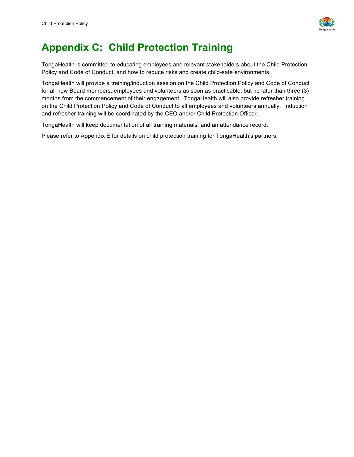

### **Appendix C: Child Protection Training**

TongaHealth is committed to educating employees and relevant stakeholders about the Child Protection Policy and Code of Conduct, and how to reduce risks and create child-safe environments.

TongaHealth will provide a training/induction session on the Child Protection Policy and Code of Conduct for all new Board members, employees and volunteers as soon as practicable; but no later than three (3) months from the commencement of their engagement. TongaHealth will also provide refresher training on the Child Protection Policy and Code of Conduct to all employees and volunteers annually. Induction and refresher training will be coordinated by the CEO and/or Child Protection Officer.

TongaHealth will keep documentation of all training materials, and an attendance record.

Please refer to Appendix E for details on child protection training for TongaHealth's partners.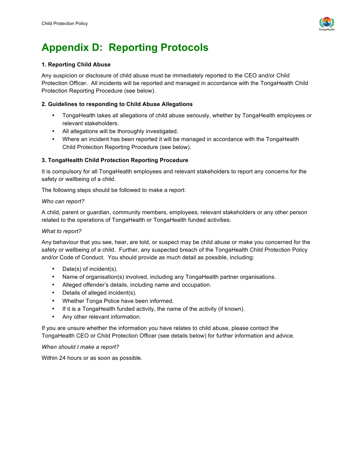

### **Appendix D: Reporting Protocols**

#### **1. Reporting Child Abuse**

Any suspicion or disclosure of child abuse must be immediately reported to the CEO and/or Child Protection Officer. All incidents will be reported and managed in accordance with the TongaHealth Child Protection Reporting Procedure (see below).

#### **2. Guidelines to responding to Child Abuse Allegations**

- TongaHealth takes all allegations of child abuse seriously, whether by TongaHealth employees or relevant stakeholders.
- All allegations will be thoroughly investigated.
- Where an incident has been reported it will be managed in accordance with the TongaHealth Child Protection Reporting Procedure (see below).

#### **3. TongaHealth Child Protection Reporting Procedure**

It is compulsory for all TongaHealth employees and relevant stakeholders to report any concerns for the safety or wellbeing of a child.

The following steps should be followed to make a report:

#### *Who can report?*

A child, parent or guardian, community members, employees, relevant stakeholders or any other person related to the operations of TongaHealth or TongaHealth funded activities.

#### *What to report?*

Any behaviour that you see, hear, are told, or suspect may be child abuse or make you concerned for the safety or wellbeing of a child. Further, any suspected breach of the TongaHealth Child Protection Policy and/or Code of Conduct. You should provide as much detail as possible, including:

- Date(s) of incident(s).
- Name of organisation(s) involved, including any TongaHealth partner organisations.
- Alleged offender's details, including name and occupation.
- Details of alleged incident(s).
- Whether Tonga Police have been informed.
- If it is a TongaHealth funded activity, the name of the activity (if known).
- Any other relevant information.

If you are unsure whether the information you have relates to child abuse, please contact the TongaHealth CEO or Child Protection Officer (see details below) for further information and advice.

#### *When should I make a report?*

Within 24 hours or as soon as possible.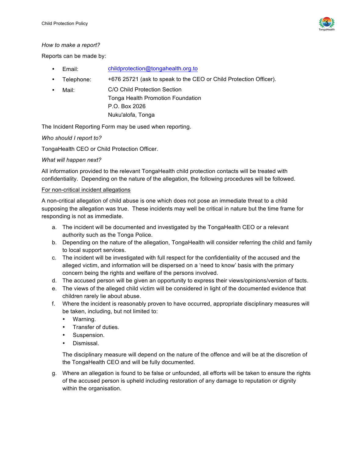

#### *How to make a report?*

Reports can be made by:

- Email: [childprotection@tongahealth.org.to](mailto:childprotection@tongahealth.org.to)
- Telephone: +676 25721 (ask to speak to the CEO or Child Protection Officer).
- Mail: C/O Child Protection Section Tonga Health Promotion Foundation P.O. Box 2026 Nuku'alofa, Tonga

The Incident Reporting Form may be used when reporting.

#### *Who should I report to?*

TongaHealth CEO or Child Protection Officer.

#### *What will happen next?*

All information provided to the relevant TongaHealth child protection contacts will be treated with confidentiality. Depending on the nature of the allegation, the following procedures will be followed.

#### For non-critical incident allegations

A non-critical allegation of child abuse is one which does not pose an immediate threat to a child supposing the allegation was true. These incidents may well be critical in nature but the time frame for responding is not as immediate.

- a. The incident will be documented and investigated by the TongaHealth CEO or a relevant authority such as the Tonga Police.
- b. Depending on the nature of the allegation, TongaHealth will consider referring the child and family to local support services.
- c. The incident will be investigated with full respect for the confidentiality of the accused and the alleged victim, and information will be dispersed on a 'need to know' basis with the primary concern being the rights and welfare of the persons involved.
- d. The accused person will be given an opportunity to express their views/opinions/version of facts.
- e. The views of the alleged child victim will be considered in light of the documented evidence that children rarely lie about abuse.
- f. Where the incident is reasonably proven to have occurred, appropriate disciplinary measures will be taken, including, but not limited to:
	- Warning.
	- Transfer of duties.
	- Suspension.
	- Dismissal.

The disciplinary measure will depend on the nature of the offence and will be at the discretion of the TongaHealth CEO and will be fully documented.

g. Where an allegation is found to be false or unfounded, all efforts will be taken to ensure the rights of the accused person is upheld including restoration of any damage to reputation or dignity within the organisation.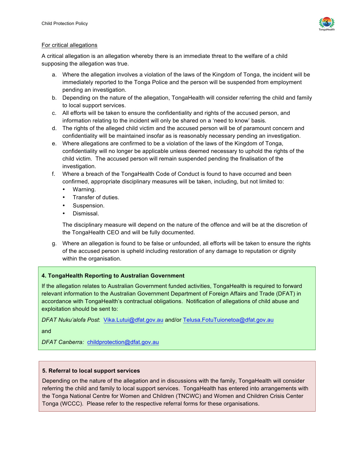

#### For critical allegations

A critical allegation is an allegation whereby there is an immediate threat to the welfare of a child supposing the allegation was true.

- a. Where the allegation involves a violation of the laws of the Kingdom of Tonga, the incident will be immediately reported to the Tonga Police and the person will be suspended from employment pending an investigation.
- b. Depending on the nature of the allegation, TongaHealth will consider referring the child and family to local support services.
- c. All efforts will be taken to ensure the confidentiality and rights of the accused person, and information relating to the incident will only be shared on a 'need to know' basis.
- d. The rights of the alleged child victim and the accused person will be of paramount concern and confidentiality will be maintained insofar as is reasonably necessary pending an investigation.
- e. Where allegations are confirmed to be a violation of the laws of the Kingdom of Tonga, confidentiality will no longer be applicable unless deemed necessary to uphold the rights of the child victim. The accused person will remain suspended pending the finalisation of the investigation.
- f. Where a breach of the TongaHealth Code of Conduct is found to have occurred and been confirmed, appropriate disciplinary measures will be taken, including, but not limited to:
	- Warning.
	- Transfer of duties.
	- Suspension.
	- Dismissal.

The disciplinary measure will depend on the nature of the offence and will be at the discretion of the TongaHealth CEO and will be fully documented.

g. Where an allegation is found to be false or unfounded, all efforts will be taken to ensure the rights of the accused person is upheld including restoration of any damage to reputation or dignity within the organisation.

#### **4. TongaHealth Reporting to Australian Government**

If the allegation relates to Australian Government funded activities, TongaHealth is required to forward relevant information to the Australian Government Department of Foreign Affairs and Trade (DFAT) in accordance with TongaHealth's contractual obligations. Notification of allegations of child abuse and exploitation should be sent to:

*DFAT Nuku'alofa Post*: [Vika.Lutui@dfat.gov.au](mailto:Vika.Lutui@dfat.gov.au) and/or [Telusa.FotuTuionetoa@dfat.gov.au](mailto:Telusa.FotuTuionetoa@dfat.gov.au)

and

*DFAT Canberra:* [childprotection@dfat.gov.au](mailto:childprotection@dfat.gov.au)

#### **5. Referral to local support services**

Depending on the nature of the allegation and in discussions with the family, TongaHealth will consider referring the child and family to local support services. TongaHealth has entered into arrangements with the Tonga National Centre for Women and Children (TNCWC) and Women and Children Crisis Center Tonga (WCCC). Please refer to the respective referral forms for these organisations.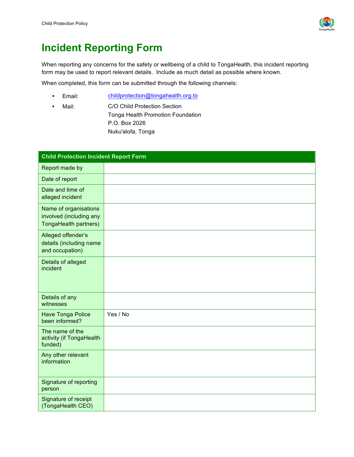

### **Incident Reporting Form**

When reporting any concerns for the safety or wellbeing of a child to TongaHealth, this incident reporting form may be used to report relevant details. Include as much detail as possible where known.

When completed, this form can be submitted through the following channels:

- Email: [childprotection@tongahealth.org.to](mailto:childprotection@tongahealth.org.to)
- Mail: C/O Child Protection Section Tonga Health Promotion Foundation P.O. Box 2026 Nuku'alofa, Tonga

| <b>Child Protection Incident Report Form</b>                              |          |  |
|---------------------------------------------------------------------------|----------|--|
| Report made by                                                            |          |  |
| Date of report                                                            |          |  |
| Date and time of<br>alleged incident                                      |          |  |
| Name of organisations<br>involved (including any<br>TongaHealth partners) |          |  |
| Alleged offender's<br>details (including name<br>and occupation)          |          |  |
| Details of alleged<br>incident                                            |          |  |
| Details of any<br>witnesses                                               |          |  |
| <b>Have Tonga Police</b><br>been informed?                                | Yes / No |  |
| The name of the<br>activity (if TongaHealth<br>funded)                    |          |  |
| Any other relevant<br>information                                         |          |  |
| Signature of reporting<br>person                                          |          |  |
| Signature of receipt<br>(TongaHealth CEO)                                 |          |  |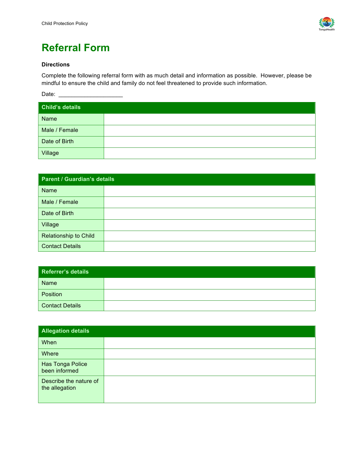

# **Referral Form**

#### **Directions**

Complete the following referral form with as much detail and information as possible. However, please be mindful to ensure the child and family do not feel threatened to provide such information.

Date: \_\_\_\_\_\_\_\_\_\_\_\_\_\_\_\_\_\_\_\_

| <b>Child's details</b> |  |
|------------------------|--|
| Name                   |  |
| Male / Female          |  |
| Date of Birth          |  |
| Village                |  |

| <b>Parent / Guardian's details</b> |  |  |
|------------------------------------|--|--|
| Name                               |  |  |
| Male / Female                      |  |  |
| Date of Birth                      |  |  |
| Village                            |  |  |
| <b>Relationship to Child</b>       |  |  |
| <b>Contact Details</b>             |  |  |

| Referrer's details |  |
|--------------------|--|
| Name               |  |
| Position           |  |
| Contact Details    |  |

| <b>Allegation details</b>                |  |
|------------------------------------------|--|
| When                                     |  |
| Where                                    |  |
| Has Tonga Police<br>been informed        |  |
| Describe the nature of<br>the allegation |  |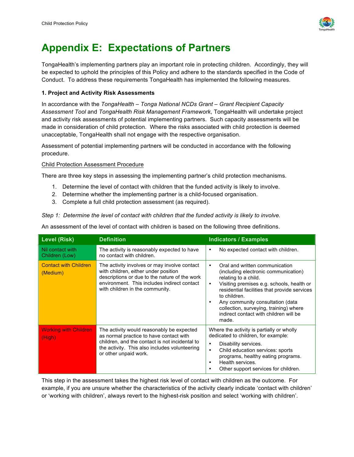

### **Appendix E: Expectations of Partners**

TongaHealth's implementing partners play an important role in protecting children. Accordingly, they will be expected to uphold the principles of this Policy and adhere to the standards specified in the Code of Conduct. To address these requirements TongaHealth has implemented the following measures.

#### **1. Project and Activity Risk Assessments**

In accordance with the *TongaHealth – Tonga National NCDs Grant – Grant Recipient Capacity Assessment Tool* and *TongaHealth Risk Management Framework*, TongaHealth will undertake project and activity risk assessments of potential implementing partners. Such capacity assessments will be made in consideration of child protection. Where the risks associated with child protection is deemed unacceptable, TongaHealth shall not engage with the respective organisation.

Assessment of potential implementing partners will be conducted in accordance with the following procedure.

#### Child Protection Assessment Procedure

There are three key steps in assessing the implementing partner's child protection mechanisms.

- 1. Determine the level of contact with children that the funded activity is likely to involve.
- 2. Determine whether the implementing partner is a child-focused organisation.
- 3. Complete a full child protection assessment (as required).

*Step 1: Determine the level of contact with children that the funded activity is likely to involve.*

An assessment of the level of contact with children is based on the following three definitions.

| <b>Level (Risk)</b>                      | <b>Definition</b>                                                                                                                                                                                                       | <b>Indicators / Examples</b>                                                                                                                                                                                                                                                                                                                                                |
|------------------------------------------|-------------------------------------------------------------------------------------------------------------------------------------------------------------------------------------------------------------------------|-----------------------------------------------------------------------------------------------------------------------------------------------------------------------------------------------------------------------------------------------------------------------------------------------------------------------------------------------------------------------------|
| Nil contact with<br>Children (Low)       | The activity is reasonably expected to have<br>no contact with children.                                                                                                                                                | No expected contact with children.<br>٠                                                                                                                                                                                                                                                                                                                                     |
| <b>Contact with Children</b><br>(Medium) | The activity involves or may involve contact<br>with children, either under position<br>descriptions or due to the nature of the work<br>environment. This includes indirect contact<br>with children in the community. | Oral and written communication<br>$\bullet$<br>(including electronic communication)<br>relating to a child.<br>Visiting premises e.g. schools, health or<br>$\bullet$<br>residential facilities that provide services<br>to children.<br>Any community consultation (data<br>٠<br>collection, surveying, training) where<br>indirect contact with children will be<br>made. |
| <b>Working with Children</b><br>(High),  | The activity would reasonably be expected<br>as normal practice to have contact with<br>children, and the contact is not incidental to<br>the activity. This also includes volunteering<br>or other unpaid work.        | Where the activity is partially or wholly<br>dedicated to children, for example:<br>Disability services.<br>٠<br>Child education services: sports<br>$\bullet$<br>programs, healthy eating programs.<br>Health services.<br>٠<br>Other support services for children.<br>٠                                                                                                  |

This step in the assessment takes the highest risk level of contact with children as the outcome. For example, if you are unsure whether the characteristics of the activity clearly indicate 'contact with children' or 'working with children', always revert to the highest-risk position and select 'working with children'.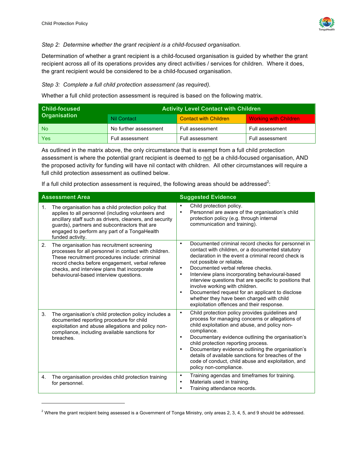l



#### *Step 2: Determine whether the grant recipient is a child-focused organisation.*

Determination of whether a grant recipient is a child-focused organisation is guided by whether the grant recipient across all of its operations provides any direct activities / services for children. Where it does, the grant recipient would be considered to be a child-focused organisation.

*Step 3: Complete a full child protection assessment (as required).*

Whether a full child protection assessment is required is based on the following matrix.

| <b>Child-focused</b> | <b>Activity Level Contact with Children</b> |                              |                              |
|----------------------|---------------------------------------------|------------------------------|------------------------------|
| <b>Organisation</b>  | <b>Nil Contact</b>                          | <b>Contact with Children</b> | <b>Working with Children</b> |
| <b>No</b>            | No further assessment                       | Full assessment              | Full assessment              |
| <b>Yes</b>           | Full assessment                             | Full assessment              | Full assessment              |

As outlined in the matrix above, the only circumstance that is exempt from a full child protection assessment is where the potential grant recipient is deemed to not be a child-focused organisation, AND the proposed activity for funding will have nil contact with children. All other circumstances will require a full child protection assessment as outlined below.

If a full child protection assessment is required, the following areas should be addressed<sup>2</sup>:

|                | <b>Assessment Area</b>                                                                                                                                                                                                                                                                             | <b>Suggested Evidence</b>                                                                                                                                                                                                                                                                                                                                                                                                                                                                                                                                                        |  |  |
|----------------|----------------------------------------------------------------------------------------------------------------------------------------------------------------------------------------------------------------------------------------------------------------------------------------------------|----------------------------------------------------------------------------------------------------------------------------------------------------------------------------------------------------------------------------------------------------------------------------------------------------------------------------------------------------------------------------------------------------------------------------------------------------------------------------------------------------------------------------------------------------------------------------------|--|--|
| 1.             | The organisation has a child protection policy that<br>applies to all personnel (including volunteers and<br>ancillary staff such as drivers, cleaners, and security<br>guards), partners and subcontractors that are<br>engaged to perform any part of a TongaHealth<br>funded activity.          | Child protection policy.<br>$\bullet$<br>Personnel are aware of the organisation's child<br>$\bullet$<br>protection policy (e.g. through internal<br>communication and training).                                                                                                                                                                                                                                                                                                                                                                                                |  |  |
| 2 <sub>1</sub> | The organisation has recruitment screening<br>processes for all personnel in contact with children.<br>These recruitment procedures include: criminal<br>record checks before engagement, verbal referee<br>checks, and interview plans that incorporate<br>behavioural-based interview questions. | Documented criminal record checks for personnel in<br>$\bullet$<br>contact with children, or a documented statutory<br>declaration in the event a criminal record check is<br>not possible or reliable.<br>Documented verbal referee checks.<br>$\bullet$<br>Interview plans incorporating behavioural-based<br>$\bullet$<br>interview questions that are specific to positions that<br>involve working with children.<br>Documented request for an applicant to disclose<br>$\bullet$<br>whether they have been charged with child<br>exploitation offences and their response. |  |  |
| 3 <sub>1</sub> | The organisation's child protection policy includes a<br>documented reporting procedure for child<br>exploitation and abuse allegations and policy non-<br>compliance, including available sanctions for<br>breaches.                                                                              | Child protection policy provides guidelines and<br>$\bullet$<br>process for managing concerns or allegations of<br>child exploitation and abuse, and policy non-<br>compliance.<br>Documentary evidence outlining the organisation's<br>$\bullet$<br>child protection reporting process.<br>Documentary evidence outlining the organisation's<br>$\bullet$<br>details of available sanctions for breaches of the<br>code of conduct, child abuse and exploitation, and<br>policy non-compliance.                                                                                 |  |  |
| 4.             | The organisation provides child protection training<br>for personnel.                                                                                                                                                                                                                              | Training agendas and timeframes for training.<br>$\bullet$<br>Materials used in training.<br>$\bullet$<br>Training attendance records.<br>$\bullet$                                                                                                                                                                                                                                                                                                                                                                                                                              |  |  |

 $2$  Where the grant recipient being assessed is a Government of Tonga Ministry, only areas 2, 3, 4, 5, and 9 should be addressed.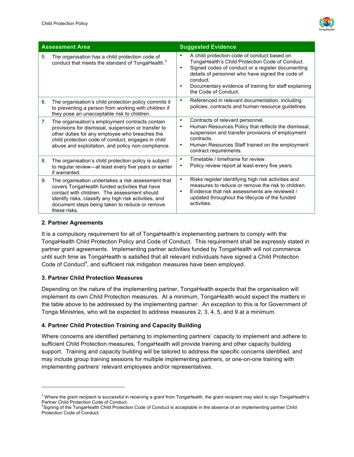

|                | <b>Assessment Area</b>                                                                                                                                                                                                                                                           | <b>Suggested Evidence</b>                                                                                                                                                                                                                                                                                                                   |  |
|----------------|----------------------------------------------------------------------------------------------------------------------------------------------------------------------------------------------------------------------------------------------------------------------------------|---------------------------------------------------------------------------------------------------------------------------------------------------------------------------------------------------------------------------------------------------------------------------------------------------------------------------------------------|--|
| 5.             | The organisation has a child protection code of<br>conduct that meets the standard of TongaHealth. <sup>3</sup>                                                                                                                                                                  | A child protection code of conduct based on<br>$\bullet$<br>TongaHealth's Child Protection Code of Conduct.<br>Signed codes of conduct or a register documenting<br>$\bullet$<br>details of personnel who have signed the code of<br>conduct.<br>Documentary evidence of training for staff explaining<br>$\bullet$<br>the Code of Conduct. |  |
| 6.             | The organisation's child protection policy commits it<br>to preventing a person from working with children if<br>they pose an unacceptable risk to children.                                                                                                                     | Referenced in relevant documentation, including<br>$\bullet$<br>policies, contracts and human resource guidelines.                                                                                                                                                                                                                          |  |
| 7 <sub>1</sub> | The organisation's employment contracts contain<br>provisions for dismissal, suspension or transfer to<br>other duties for any employee who breaches the<br>child protection code of conduct, engages in child<br>abuse and exploitation, and policy non-compliance.             | Contracts of relevant personnel.<br>$\bullet$<br>Human Resources Policy that reflects the dismissal,<br>$\bullet$<br>suspension and transfer provisions of employment<br>contracts.<br>Human Resources Staff trained on the employment<br>$\bullet$<br>contract requirements.                                                               |  |
| 8.             | The organisation's child protection policy is subject<br>to regular review—at least every five years or earlier<br>if warranted.                                                                                                                                                 | Timetable / timeframe for review.<br>$\bullet$<br>Policy review report at least every five years.<br>$\bullet$                                                                                                                                                                                                                              |  |
| 9.             | The organisation undertakes a risk assessment that<br>covers TongaHealth funded activities that have<br>contact with children. The assessment should<br>identify risks, classify any high risk activities, and<br>document steps being taken to reduce or remove<br>these risks. | Risks register identifying high risk activities and<br>$\bullet$<br>measures to reduce or remove the risk to children.<br>Evidence that risk assessments are reviewed /<br>$\bullet$<br>updated throughout the lifecycle of the funded<br>activities.                                                                                       |  |

#### **2. Partner Agreements**

l

It is a compulsory requirement for all of TongaHealth's implementing partners to comply with the TongaHealth Child Protection Policy and Code of Conduct. This requirement shall be expressly stated in partner grant agreements. Implementing partner activities funded by TongaHealth will not commence until such time as TongaHealth is satisfied that all relevant individuals have signed a Child Protection Code of Conduct<sup>4</sup>, and sufficient risk mitigation measures have been employed.

#### **3. Partner Child Protection Measures**

Depending on the nature of the implementing partner, TongaHealth expects that the organisation will implement its own Child Protection measures. At a minimum, TongaHealth would expect the matters in the table above to be addressed by the implementing partner. An exception to this is for Government of Tonga Ministries, who will be expected to address measures 2, 3, 4, 5, and 9 at a minimum.

#### **4. Partner Child Protection Training and Capacity Building**

Where concerns are identified pertaining to implementing partners' capacity to implement and adhere to sufficient Child Protection measures, TongaHealth will provide training and other capacity building support. Training and capacity building will be tailored to address the specific concerns identified, and may include group training sessions for multiple implementing partners, or one-on-one training with implementing partners' relevant employees and/or representatives.

<sup>&</sup>lt;sup>3</sup> Where the grant recipient is successful in receiving a grant from TongaHealth, the grant recipient may elect to sign TongaHealth's Partner Child Protection Code of Conduct.

<sup>4</sup> Signing of the TongaHealth Child Protection Code of Conduct is acceptable in the absence of an implementing partner Child Protection Code of Conduct.